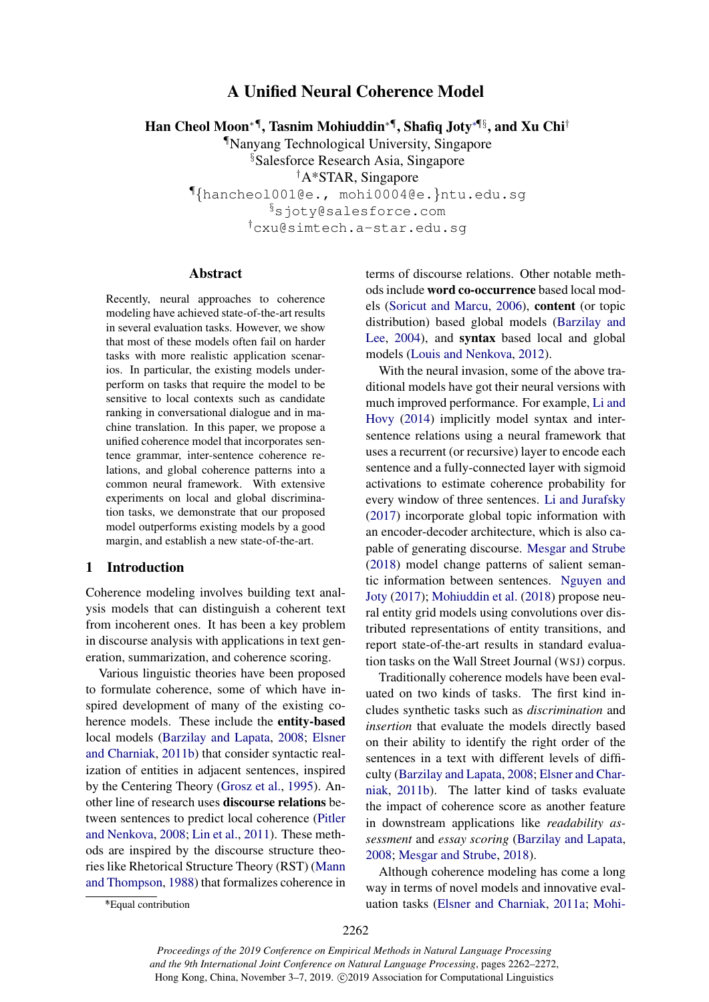# A Unified Neural Coherence Model

Han Cheol Moon∗¶, Tasnim Mohiuddin∗¶, Shafiq Joty∗¶§, and Xu Chi†

¶Nanyang Technological University, Singapore §Salesforce Research Asia, Singapore †A\*STAR, Singapore ¶{hancheol001@e., mohi0004@e.}ntu.edu.sg §sjoty@salesforce.com †cxu@simtech.a-star.edu.sg

#### Abstract

Recently, neural approaches to coherence modeling have achieved state-of-the-art results in several evaluation tasks. However, we show that most of these models often fail on harder tasks with more realistic application scenarios. In particular, the existing models underperform on tasks that require the model to be sensitive to local contexts such as candidate ranking in conversational dialogue and in machine translation. In this paper, we propose a unified coherence model that incorporates sentence grammar, inter-sentence coherence relations, and global coherence patterns into a common neural framework. With extensive experiments on local and global discrimination tasks, we demonstrate that our proposed model outperforms existing models by a good margin, and establish a new state-of-the-art.

### 1 Introduction

Coherence modeling involves building text analysis models that can distinguish a coherent text from incoherent ones. It has been a key problem in discourse analysis with applications in text generation, summarization, and coherence scoring.

Various linguistic theories have been proposed to formulate coherence, some of which have inspired development of many of the existing coherence models. These include the entity-based local models [\(Barzilay and Lapata,](#page-8-0) [2008;](#page-8-0) [Elsner](#page-9-0) [and Charniak,](#page-9-0) [2011b\)](#page-9-0) that consider syntactic realization of entities in adjacent sentences, inspired by the Centering Theory [\(Grosz et al.,](#page-9-1) [1995\)](#page-9-1). Another line of research uses discourse relations between sentences to predict local coherence [\(Pitler](#page-10-0) [and Nenkova,](#page-10-0) [2008;](#page-10-0) [Lin et al.,](#page-9-2) [2011\)](#page-9-2). These methods are inspired by the discourse structure theories like Rhetorical Structure Theory (RST) [\(Mann](#page-9-3) [and Thompson,](#page-9-3) [1988\)](#page-9-3) that formalizes coherence in terms of discourse relations. Other notable methods include word co-occurrence based local models [\(Soricut and Marcu,](#page-10-1) [2006\)](#page-10-1), content (or topic distribution) based global models [\(Barzilay and](#page-8-1) [Lee,](#page-8-1) [2004\)](#page-8-1), and syntax based local and global models [\(Louis and Nenkova,](#page-9-4) [2012\)](#page-9-4).

With the neural invasion, some of the above traditional models have got their neural versions with much improved performance. For example, [Li and](#page-9-5) [Hovy](#page-9-5) [\(2014\)](#page-9-5) implicitly model syntax and intersentence relations using a neural framework that uses a recurrent (or recursive) layer to encode each sentence and a fully-connected layer with sigmoid activations to estimate coherence probability for every window of three sentences. [Li and Jurafsky](#page-9-6) [\(2017\)](#page-9-6) incorporate global topic information with an encoder-decoder architecture, which is also capable of generating discourse. [Mesgar and Strube](#page-10-2) [\(2018\)](#page-10-2) model change patterns of salient semantic information between sentences. [Nguyen and](#page-10-3) [Joty](#page-10-3) [\(2017\)](#page-10-3); [Mohiuddin et al.](#page-10-4) [\(2018\)](#page-10-4) propose neural entity grid models using convolutions over distributed representations of entity transitions, and report state-of-the-art results in standard evaluation tasks on the Wall Street Journal (WSJ) corpus.

Traditionally coherence models have been evaluated on two kinds of tasks. The first kind includes synthetic tasks such as *discrimination* and *insertion* that evaluate the models directly based on their ability to identify the right order of the sentences in a text with different levels of difficulty [\(Barzilay and Lapata,](#page-8-0) [2008;](#page-8-0) [Elsner and Char](#page-9-0)[niak,](#page-9-0) [2011b\)](#page-9-0). The latter kind of tasks evaluate the impact of coherence score as another feature in downstream applications like *readability assessment* and *essay scoring* [\(Barzilay and Lapata,](#page-8-0) [2008;](#page-8-0) [Mesgar and Strube,](#page-10-2) [2018\)](#page-10-2).

Although coherence modeling has come a long way in terms of novel models and innovative evaluation tasks [\(Elsner and Charniak,](#page-9-7) [2011a;](#page-9-7) [Mohi-](#page-10-4)

<sup>∗</sup> \*Equal contribution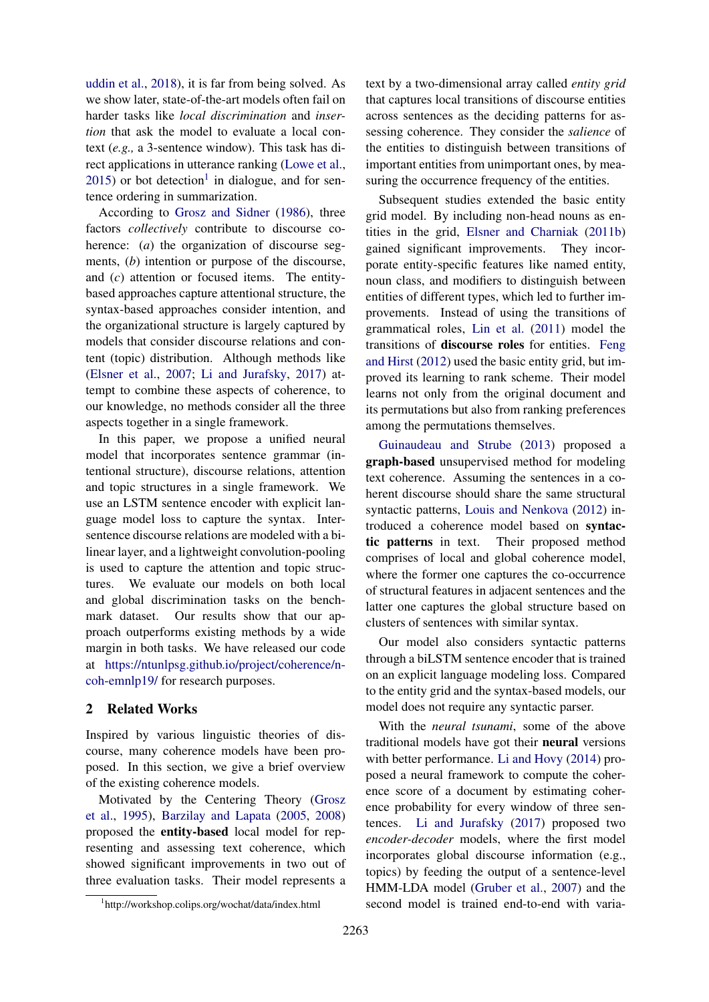[uddin et al.,](#page-10-4) [2018\)](#page-10-4), it is far from being solved. As we show later, state-of-the-art models often fail on harder tasks like *local discrimination* and *insertion* that ask the model to evaluate a local context (*e.g.,* a 3-sentence window). This task has direct applications in utterance ranking [\(Lowe et al.,](#page-9-8)  $2015$  $2015$  $2015$ ) or bot detection<sup>1</sup> in dialogue, and for sentence ordering in summarization.

According to [Grosz and Sidner](#page-9-9) [\(1986\)](#page-9-9), three factors *collectively* contribute to discourse coherence: (*a*) the organization of discourse segments, (*b*) intention or purpose of the discourse, and (*c*) attention or focused items. The entitybased approaches capture attentional structure, the syntax-based approaches consider intention, and the organizational structure is largely captured by models that consider discourse relations and content (topic) distribution. Although methods like [\(Elsner et al.,](#page-9-10) [2007;](#page-9-10) [Li and Jurafsky,](#page-9-6) [2017\)](#page-9-6) attempt to combine these aspects of coherence, to our knowledge, no methods consider all the three aspects together in a single framework.

In this paper, we propose a unified neural model that incorporates sentence grammar (intentional structure), discourse relations, attention and topic structures in a single framework. We use an LSTM sentence encoder with explicit language model loss to capture the syntax. Intersentence discourse relations are modeled with a bilinear layer, and a lightweight convolution-pooling is used to capture the attention and topic structures. We evaluate our models on both local and global discrimination tasks on the benchmark dataset. Our results show that our approach outperforms existing methods by a wide margin in both tasks. We have released our code at [https://ntunlpsg.github.io/project/coherence/n](https://ntunlpsg.github.io/project/coherence/n-coh-emnlp19/)[coh-emnlp19/](https://ntunlpsg.github.io/project/coherence/n-coh-emnlp19/) for research purposes.

# 2 Related Works

Inspired by various linguistic theories of discourse, many coherence models have been proposed. In this section, we give a brief overview of the existing coherence models.

Motivated by the Centering Theory [\(Grosz](#page-9-1) [et al.,](#page-9-1) [1995\)](#page-9-1), [Barzilay and Lapata](#page-8-2) [\(2005,](#page-8-2) [2008\)](#page-8-0) proposed the entity-based local model for representing and assessing text coherence, which showed significant improvements in two out of three evaluation tasks. Their model represents a text by a two-dimensional array called *entity grid* that captures local transitions of discourse entities across sentences as the deciding patterns for assessing coherence. They consider the *salience* of the entities to distinguish between transitions of important entities from unimportant ones, by measuring the occurrence frequency of the entities.

Subsequent studies extended the basic entity grid model. By including non-head nouns as entities in the grid, [Elsner and Charniak](#page-9-0) [\(2011b\)](#page-9-0) gained significant improvements. They incorporate entity-specific features like named entity, noun class, and modifiers to distinguish between entities of different types, which led to further improvements. Instead of using the transitions of grammatical roles, [Lin et al.](#page-9-2) [\(2011\)](#page-9-2) model the transitions of discourse roles for entities. [Feng](#page-9-11) [and Hirst](#page-9-11) [\(2012\)](#page-9-11) used the basic entity grid, but improved its learning to rank scheme. Their model learns not only from the original document and its permutations but also from ranking preferences among the permutations themselves.

[Guinaudeau and Strube](#page-9-12) [\(2013\)](#page-9-12) proposed a graph-based unsupervised method for modeling text coherence. Assuming the sentences in a coherent discourse should share the same structural syntactic patterns, [Louis and Nenkova](#page-9-4) [\(2012\)](#page-9-4) introduced a coherence model based on syntactic patterns in text. Their proposed method comprises of local and global coherence model, where the former one captures the co-occurrence of structural features in adjacent sentences and the latter one captures the global structure based on clusters of sentences with similar syntax.

Our model also considers syntactic patterns through a biLSTM sentence encoder that is trained on an explicit language modeling loss. Compared to the entity grid and the syntax-based models, our model does not require any syntactic parser.

With the *neural tsunami*, some of the above traditional models have got their neural versions with better performance. [Li and Hovy](#page-9-5) [\(2014\)](#page-9-5) proposed a neural framework to compute the coherence score of a document by estimating coherence probability for every window of three sentences. [Li and Jurafsky](#page-9-6) [\(2017\)](#page-9-6) proposed two *encoder-decoder* models, where the first model incorporates global discourse information (e.g., topics) by feeding the output of a sentence-level HMM-LDA model [\(Gruber et al.,](#page-9-13) [2007\)](#page-9-13) and the second model is trained end-to-end with varia-

<span id="page-1-0"></span><sup>1</sup> http://workshop.colips.org/wochat/data/index.html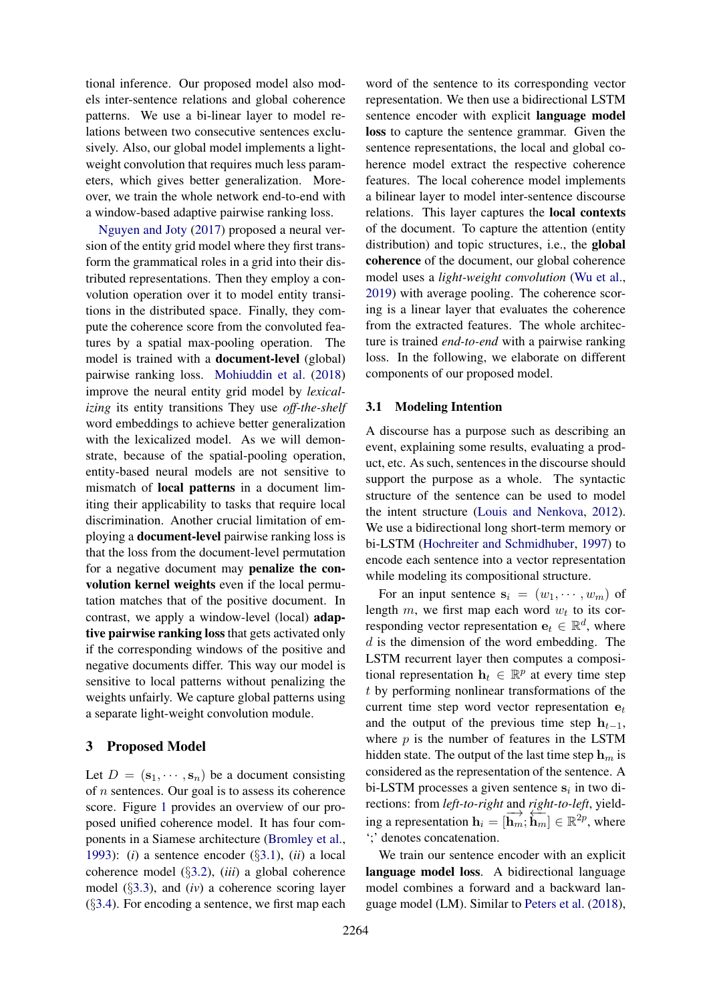tional inference. Our proposed model also models inter-sentence relations and global coherence patterns. We use a bi-linear layer to model relations between two consecutive sentences exclusively. Also, our global model implements a lightweight convolution that requires much less parameters, which gives better generalization. Moreover, we train the whole network end-to-end with a window-based adaptive pairwise ranking loss.

[Nguyen and Joty](#page-10-3) [\(2017\)](#page-10-3) proposed a neural version of the entity grid model where they first transform the grammatical roles in a grid into their distributed representations. Then they employ a convolution operation over it to model entity transitions in the distributed space. Finally, they compute the coherence score from the convoluted features by a spatial max-pooling operation. The model is trained with a document-level (global) pairwise ranking loss. [Mohiuddin et al.](#page-10-4) [\(2018\)](#page-10-4) improve the neural entity grid model by *lexicalizing* its entity transitions They use *off-the-shelf* word embeddings to achieve better generalization with the lexicalized model. As we will demonstrate, because of the spatial-pooling operation, entity-based neural models are not sensitive to mismatch of local patterns in a document limiting their applicability to tasks that require local discrimination. Another crucial limitation of employing a document-level pairwise ranking loss is that the loss from the document-level permutation for a negative document may penalize the convolution kernel weights even if the local permutation matches that of the positive document. In contrast, we apply a window-level (local) adaptive pairwise ranking loss that gets activated only if the corresponding windows of the positive and negative documents differ. This way our model is sensitive to local patterns without penalizing the weights unfairly. We capture global patterns using a separate light-weight convolution module.

# 3 Proposed Model

Let  $D = (\mathbf{s}_1, \dots, \mathbf{s}_n)$  be a document consisting of  $n$  sentences. Our goal is to assess its coherence score. Figure [1](#page-3-0) provides an overview of our proposed unified coherence model. It has four components in a Siamese architecture [\(Bromley et al.,](#page-8-3) [1993\)](#page-8-3): (*i*) a sentence encoder (§[3.1\)](#page-2-0), (*ii*) a local coherence model (§[3.2\)](#page-3-1), (*iii*) a global coherence model (§[3.3\)](#page-3-2), and (*iv*) a coherence scoring layer  $(\S$ [3.4\)](#page-4-0). For encoding a sentence, we first map each

word of the sentence to its corresponding vector representation. We then use a bidirectional LSTM sentence encoder with explicit language model loss to capture the sentence grammar. Given the sentence representations, the local and global coherence model extract the respective coherence features. The local coherence model implements a bilinear layer to model inter-sentence discourse relations. This layer captures the local contexts of the document. To capture the attention (entity distribution) and topic structures, i.e., the global coherence of the document, our global coherence model uses a *light-weight convolution* [\(Wu et al.,](#page-10-5) [2019\)](#page-10-5) with average pooling. The coherence scoring is a linear layer that evaluates the coherence from the extracted features. The whole architecture is trained *end-to-end* with a pairwise ranking loss. In the following, we elaborate on different components of our proposed model.

#### <span id="page-2-0"></span>3.1 Modeling Intention

A discourse has a purpose such as describing an event, explaining some results, evaluating a product, etc. As such, sentences in the discourse should support the purpose as a whole. The syntactic structure of the sentence can be used to model the intent structure [\(Louis and Nenkova,](#page-9-4) [2012\)](#page-9-4). We use a bidirectional long short-term memory or bi-LSTM [\(Hochreiter and Schmidhuber,](#page-9-14) [1997\)](#page-9-14) to encode each sentence into a vector representation while modeling its compositional structure.

For an input sentence  $s_i = (w_1, \dots, w_m)$  of length  $m$ , we first map each word  $w_t$  to its corresponding vector representation  $e_t \in \mathbb{R}^d$ , where  $d$  is the dimension of the word embedding. The LSTM recurrent layer then computes a compositional representation  $\mathbf{h}_t \in \mathbb{R}^p$  at every time step t by performing nonlinear transformations of the current time step word vector representation  $e_t$ and the output of the previous time step  $h_{t-1}$ , where  $p$  is the number of features in the LSTM hidden state. The output of the last time step  $h_m$  is considered as the representation of the sentence. A bi-LSTM processes a given sentence  $s_i$  in two directions: from *left-to-right* and *right-to-left*, yielding a representation  $\mathbf{h}_i = [\overrightarrow{\mathbf{h}_m}; \overleftarrow{\mathbf{h}_m}] \in \mathbb{R}^{2p}$ , where ';' denotes concatenation.

We train our sentence encoder with an explicit language model loss. A bidirectional language model combines a forward and a backward language model (LM). Similar to [Peters et al.](#page-10-6) [\(2018\)](#page-10-6),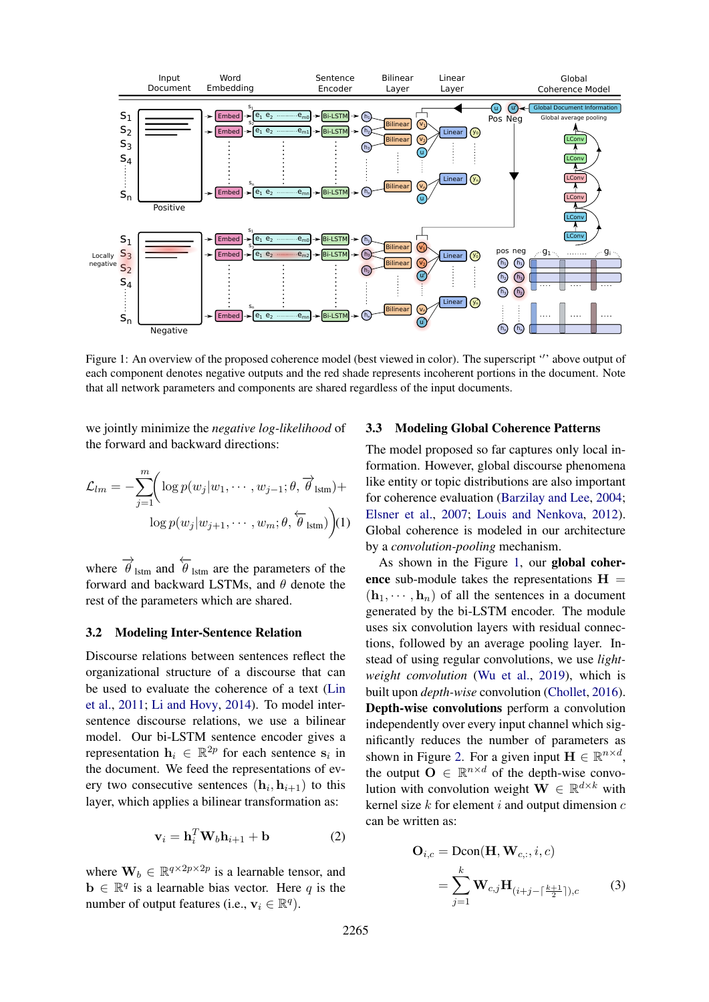<span id="page-3-0"></span>

Figure 1: An overview of the proposed coherence model (best viewed in color). The superscript " above output of each component denotes negative outputs and the red shade represents incoherent portions in the document. Note that all network parameters and components are shared regardless of the input documents.

we jointly minimize the *negative log-likelihood* of the forward and backward directions:

$$
\mathcal{L}_{lm} = -\sum_{j=1}^{m} \Biggl( \log p(w_j | w_1, \cdots, w_{j-1}; \theta, \overrightarrow{\theta}_{lstm}) + \\ \log p(w_j | w_{j+1}, \cdots, w_m; \theta, \overleftarrow{\theta}_{lstm}) \Biggr) (1)
$$

where  $\overrightarrow{\theta}_{lstm}$  and  $\overleftarrow{\theta}_{lstm}$  are the parameters of the forward and backward LSTMs, and  $\theta$  denote the rest of the parameters which are shared.

### <span id="page-3-1"></span>3.2 Modeling Inter-Sentence Relation

Discourse relations between sentences reflect the organizational structure of a discourse that can be used to evaluate the coherence of a text [\(Lin](#page-9-2) [et al.,](#page-9-2) [2011;](#page-9-2) [Li and Hovy,](#page-9-5) [2014\)](#page-9-5). To model intersentence discourse relations, we use a bilinear model. Our bi-LSTM sentence encoder gives a representation  $h_i \in \mathbb{R}^{2p}$  for each sentence  $s_i$  in the document. We feed the representations of every two consecutive sentences  $(h_i, h_{i+1})$  to this layer, which applies a bilinear transformation as:

$$
\mathbf{v}_i = \mathbf{h}_i^T \mathbf{W}_b \mathbf{h}_{i+1} + \mathbf{b}
$$
 (2)

where  $\mathbf{W}_b \in \mathbb{R}^{q \times 2p \times 2p}$  is a learnable tensor, and  $\mathbf{b} \in \mathbb{R}^q$  is a learnable bias vector. Here q is the number of output features (i.e.,  $v_i \in \mathbb{R}^q$ ).

# <span id="page-3-2"></span>3.3 Modeling Global Coherence Patterns

The model proposed so far captures only local information. However, global discourse phenomena like entity or topic distributions are also important for coherence evaluation [\(Barzilay and Lee,](#page-8-1) [2004;](#page-8-1) [Elsner et al.,](#page-9-10) [2007;](#page-9-10) [Louis and Nenkova,](#page-9-4) [2012\)](#page-9-4). Global coherence is modeled in our architecture by a *convolution-pooling* mechanism.

As shown in the Figure [1,](#page-3-0) our global coherence sub-module takes the representations  $H =$  $(h_1, \dots, h_n)$  of all the sentences in a document generated by the bi-LSTM encoder. The module uses six convolution layers with residual connections, followed by an average pooling layer. Instead of using regular convolutions, we use *lightweight convolution* [\(Wu et al.,](#page-10-5) [2019\)](#page-10-5), which is built upon *depth-wise* convolution [\(Chollet,](#page-9-15) [2016\)](#page-9-15). Depth-wise convolutions perform a convolution independently over every input channel which significantly reduces the number of parameters as shown in Figure [2.](#page-4-1) For a given input  $\mathbf{H} \in \mathbb{R}^{n \times d}$ , the output  $\mathbf{O} \in \mathbb{R}^{n \times d}$  of the depth-wise convolution with convolution weight  $\mathbf{W} \in \mathbb{R}^{d \times k}$  with kernel size  $k$  for element  $i$  and output dimension  $c$ can be written as:

$$
\mathbf{O}_{i,c} = \text{Dcon}(\mathbf{H}, \mathbf{W}_{c,:}, i, c)
$$

$$
= \sum_{j=1}^{k} \mathbf{W}_{c,j} \mathbf{H}_{(i+j-\lceil \frac{k+1}{2} \rceil), c} \tag{3}
$$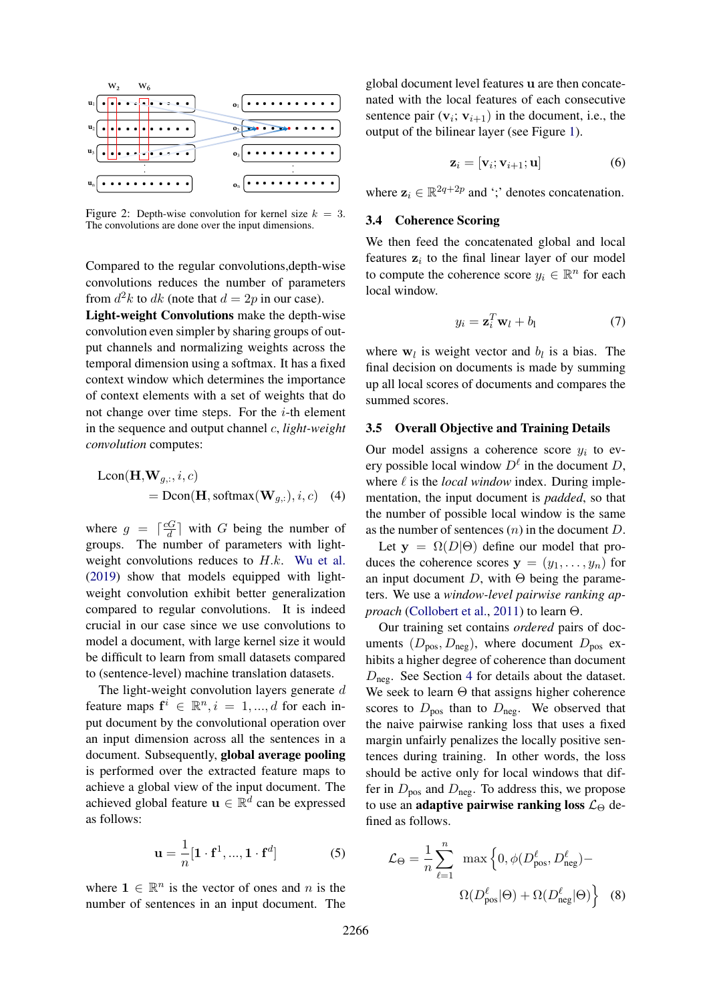<span id="page-4-1"></span>

Figure 2: Depth-wise convolution for kernel size  $k = 3$ . The convolutions are done over the input dimensions.

Compared to the regular convolutions,depth-wise convolutions reduces the number of parameters from  $d^2k$  to  $dk$  (note that  $d = 2p$  in our case).

Light-weight Convolutions make the depth-wise convolution even simpler by sharing groups of output channels and normalizing weights across the temporal dimension using a softmax. It has a fixed context window which determines the importance of context elements with a set of weights that do not change over time steps. For the  $i$ -th element in the sequence and output channel c, *light-weight convolution* computes:

$$
Lcon(\mathbf{H}, \mathbf{W}_{g,:}, i, c)
$$
  
=  $Dom(\mathbf{H}, softmax(\mathbf{W}_{g,:}), i, c)$  (4)

where  $g = \frac{cG}{d}$  $\frac{dG}{d}$  with G being the number of groups. The number of parameters with lightweight convolutions reduces to  $H.k$ . [Wu et al.](#page-10-5) [\(2019\)](#page-10-5) show that models equipped with lightweight convolution exhibit better generalization compared to regular convolutions. It is indeed crucial in our case since we use convolutions to model a document, with large kernel size it would be difficult to learn from small datasets compared to (sentence-level) machine translation datasets.

The light-weight convolution layers generate  $d$ feature maps  $f^i \in \mathbb{R}^n, i = 1, ..., d$  for each input document by the convolutional operation over an input dimension across all the sentences in a document. Subsequently, global average pooling is performed over the extracted feature maps to achieve a global view of the input document. The achieved global feature  $\mathbf{u} \in \mathbb{R}^d$  can be expressed as follows:

$$
\mathbf{u} = \frac{1}{n} [\mathbf{1} \cdot \mathbf{f}^1, ..., \mathbf{1} \cdot \mathbf{f}^d]
$$
 (5)

where  $1 \in \mathbb{R}^n$  is the vector of ones and n is the number of sentences in an input document. The

global document level features u are then concatenated with the local features of each consecutive sentence pair  $(v_i; v_{i+1})$  in the document, i.e., the output of the bilinear layer (see Figure [1\)](#page-3-0).

$$
\mathbf{z}_i = [\mathbf{v}_i; \mathbf{v}_{i+1}; \mathbf{u}] \tag{6}
$$

where  $z_i \in \mathbb{R}^{2q+2p}$  and ';' denotes concatenation.

# <span id="page-4-0"></span>3.4 Coherence Scoring

We then feed the concatenated global and local features  $z_i$  to the final linear layer of our model to compute the coherence score  $y_i \in \mathbb{R}^n$  for each local window.

$$
y_i = \mathbf{z}_i^T \mathbf{w}_l + b_l \tag{7}
$$

where  $w_l$  is weight vector and  $b_l$  is a bias. The final decision on documents is made by summing up all local scores of documents and compares the summed scores.

## 3.5 Overall Objective and Training Details

Our model assigns a coherence score  $y_i$  to every possible local window  $D^{\ell}$  in the document D, where  $\ell$  is the *local window* index. During implementation, the input document is *padded*, so that the number of possible local window is the same as the number of sentences  $(n)$  in the document  $D$ .

Let  $y = \Omega(D|\Theta)$  define our model that produces the coherence scores  $y = (y_1, \ldots, y_n)$  for an input document  $D$ , with  $\Theta$  being the parameters. We use a *window-level pairwise ranking approach* [\(Collobert et al.,](#page-9-16) [2011\)](#page-9-16) to learn Θ.

Our training set contains *ordered* pairs of documents  $(D_{\text{pos}}, D_{\text{neg}})$ , where document  $D_{\text{pos}}$  exhibits a higher degree of coherence than document  $D_{\text{neg}}$ . See Section [4](#page-5-0) for details about the dataset. We seek to learn  $\Theta$  that assigns higher coherence scores to  $D_{\text{pos}}$  than to  $D_{\text{neg}}$ . We observed that the naive pairwise ranking loss that uses a fixed margin unfairly penalizes the locally positive sentences during training. In other words, the loss should be active only for local windows that differ in  $D_{\text{pos}}$  and  $D_{\text{neg}}$ . To address this, we propose to use an adaptive pairwise ranking loss  $\mathcal{L}_{\Theta}$  defined as follows.

$$
\mathcal{L}_{\Theta} = \frac{1}{n} \sum_{\ell=1}^{n} \max \left\{ 0, \phi(D_{\text{pos}}^{\ell}, D_{\text{neg}}^{\ell}) - \frac{\Omega(D_{\text{pos}}^{\ell}|\Theta) + \Omega(D_{\text{neg}}^{\ell}|\Theta)}{2}
$$
 (8)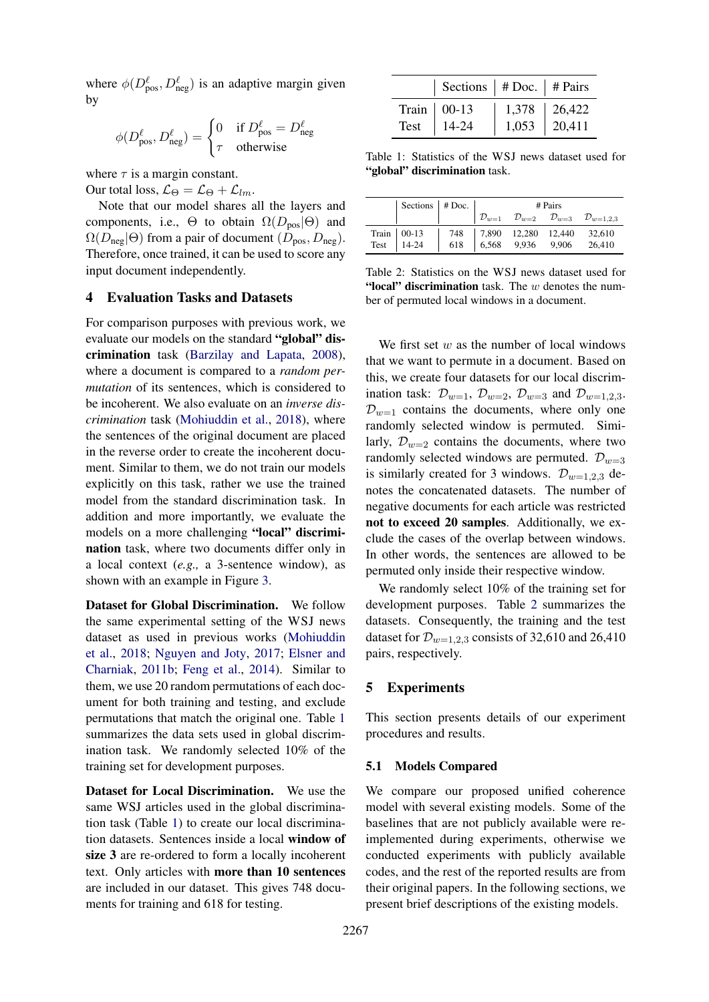where  $\phi(D_{\text{pos}}^{\ell}, D_{\text{neg}}^{\ell})$  is an adaptive margin given by

$$
\phi(D_{\text{pos}}^{\ell}, D_{\text{neg}}^{\ell}) = \begin{cases} 0 & \text{if } D_{\text{pos}}^{\ell} = D_{\text{neg}}^{\ell} \\ \tau & \text{otherwise} \end{cases}
$$

where  $\tau$  is a margin constant.

Our total loss,  $\mathcal{L}_{\Theta} = \mathcal{L}_{\Theta} + \mathcal{L}_{lm}$ .

Note that our model shares all the layers and components, i.e.,  $\Theta$  to obtain  $\Omega(D_{\text{pos}}|\Theta)$  and  $\Omega(D_{\text{neg}}|\Theta)$  from a pair of document  $(D_{\text{pos}}, D_{\text{neg}})$ . Therefore, once trained, it can be used to score any input document independently.

# <span id="page-5-0"></span>4 Evaluation Tasks and Datasets

For comparison purposes with previous work, we evaluate our models on the standard "global" discrimination task [\(Barzilay and Lapata,](#page-8-0) [2008\)](#page-8-0), where a document is compared to a *random permutation* of its sentences, which is considered to be incoherent. We also evaluate on an *inverse discrimination* task [\(Mohiuddin et al.,](#page-10-4) [2018\)](#page-10-4), where the sentences of the original document are placed in the reverse order to create the incoherent document. Similar to them, we do not train our models explicitly on this task, rather we use the trained model from the standard discrimination task. In addition and more importantly, we evaluate the models on a more challenging "local" discrimination task, where two documents differ only in a local context (*e.g.,* a 3-sentence window), as shown with an example in Figure [3.](#page-6-0)

Dataset for Global Discrimination. We follow the same experimental setting of the WSJ news dataset as used in previous works [\(Mohiuddin](#page-10-4) [et al.,](#page-10-4) [2018;](#page-10-4) [Nguyen and Joty,](#page-10-3) [2017;](#page-10-3) [Elsner and](#page-9-0) [Charniak,](#page-9-0) [2011b;](#page-9-0) [Feng et al.,](#page-9-17) [2014\)](#page-9-17). Similar to them, we use 20 random permutations of each document for both training and testing, and exclude permutations that match the original one. Table [1](#page-5-1) summarizes the data sets used in global discrimination task. We randomly selected 10% of the training set for development purposes.

Dataset for Local Discrimination. We use the same WSJ articles used in the global discrimination task (Table [1\)](#page-5-1) to create our local discrimination datasets. Sentences inside a local window of size 3 are re-ordered to form a locally incoherent text. Only articles with more than 10 sentences are included in our dataset. This gives 748 documents for training and 618 for testing.

<span id="page-5-1"></span>

|      | Sections   $# \cdot$ Doc.   $# \cdot$ Pairs |                  |                  |
|------|---------------------------------------------|------------------|------------------|
|      | Train $\vert$ 00-13                         | $1,378$   26,422 |                  |
| Test | $14-24$                                     |                  | $1,053$   20,411 |

Table 1: Statistics of the WSJ news dataset used for "global" discrimination task.

<span id="page-5-2"></span>

| Sections $ $ # Doc. $ $                                                        | # Pairs |  |  |                                                                                                                                      |
|--------------------------------------------------------------------------------|---------|--|--|--------------------------------------------------------------------------------------------------------------------------------------|
|                                                                                |         |  |  | $\begin{array}{ccc} \n\mathcal{D}_{w=1} & \mathcal{D}_{w=2} & \mathcal{D}_{w=3} & \mathcal{D}_{w=1,2,3}\n\end{array}$                |
| $\begin{array}{c c}\n\text{Train} & 00-13 \\ \text{Test} & 14-24\n\end{array}$ |         |  |  |                                                                                                                                      |
|                                                                                |         |  |  | $\begin{array}{ c cccc } \hline 748 & 7,890 & 12,280 & 12,440 & 32,610 \\ 618 & 6,568 & 9,936 & 9,906 & 26,410 \\\hline \end{array}$ |

Table 2: Statistics on the WSJ news dataset used for "local" discrimination task. The  $w$  denotes the number of permuted local windows in a document.

We first set  $w$  as the number of local windows that we want to permute in a document. Based on this, we create four datasets for our local discrimination task:  $\mathcal{D}_{w=1}$ ,  $\mathcal{D}_{w=2}$ ,  $\mathcal{D}_{w=3}$  and  $\mathcal{D}_{w=1,2,3}$ .  $\mathcal{D}_{w=1}$  contains the documents, where only one randomly selected window is permuted. Similarly,  $\mathcal{D}_{w=2}$  contains the documents, where two randomly selected windows are permuted.  $\mathcal{D}_{w=3}$ is similarly created for 3 windows.  $\mathcal{D}_{w=1,2,3}$  denotes the concatenated datasets. The number of negative documents for each article was restricted not to exceed 20 samples. Additionally, we exclude the cases of the overlap between windows. In other words, the sentences are allowed to be permuted only inside their respective window.

We randomly select 10% of the training set for development purposes. Table [2](#page-5-2) summarizes the datasets. Consequently, the training and the test dataset for  $\mathcal{D}_{w=1,2,3}$  consists of 32,610 and 26,410 pairs, respectively.

# 5 Experiments

This section presents details of our experiment procedures and results.

#### 5.1 Models Compared

We compare our proposed unified coherence model with several existing models. Some of the baselines that are not publicly available were reimplemented during experiments, otherwise we conducted experiments with publicly available codes, and the rest of the reported results are from their original papers. In the following sections, we present brief descriptions of the existing models.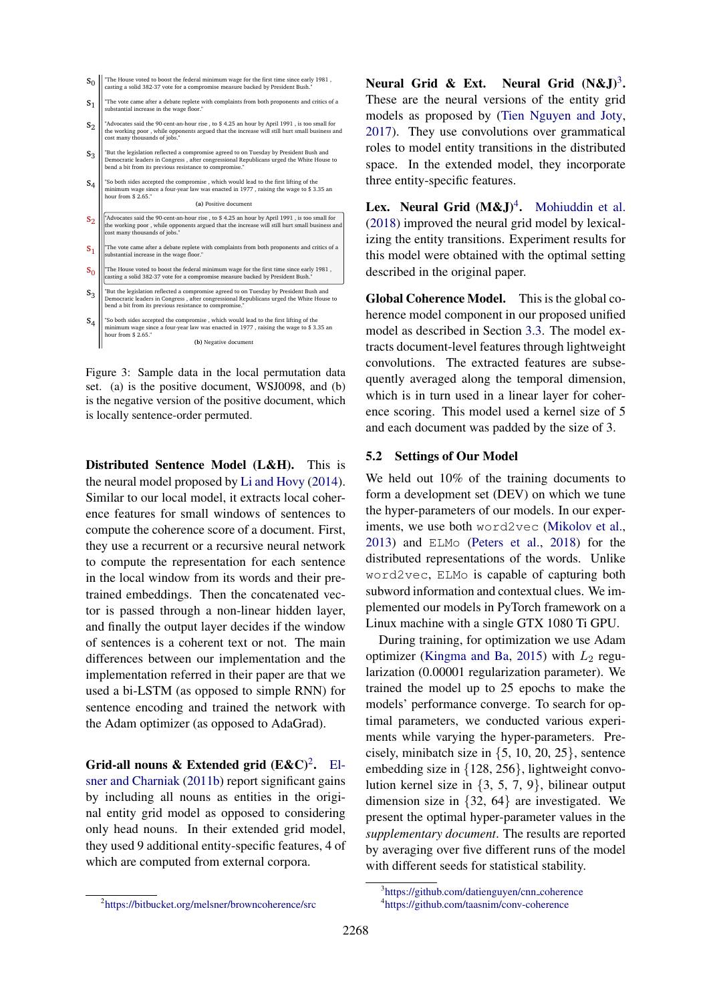- <span id="page-6-0"></span>"The House voted to boost the federal minimum wage for the first time since early 1981 , casting a solid 382-37 vote for a compromise measure backed by President Bush."  $S_0$
- "The vote came after a debate replete with complaints from both proponents and critics of a substantial increase in the wage floor.  $S_1$
- "Advocates said the 90-cent-an-hour rise , to \$ 4.25 an hour by April 1991 , is too small for the working poor , while opponents argued that the increase will still hurt small business and cost many thousands of jobs."  $S<sub>2</sub>$
- "But the legislation reflected a compromise agreed to on Tuesday by President Bush and Democratic leaders in Congress , after congressional Republicans urged the White House to Democratic leaders in Congress,  $\frac{1}{2}$ ,  $\frac{1}{2}$ ,  $\frac{1}{2}$ ,  $\frac{1}{2}$ ,  $\frac{1}{2}$ ,  $\frac{1}{2}$ ,  $\frac{1}{2}$ ,  $\frac{1}{2}$ ,  $\frac{1}{2}$ ,  $\frac{1}{2}$ ,  $\frac{1}{2}$ ,  $\frac{1}{2}$ ,  $\frac{1}{2}$ ,  $\frac{1}{2}$ ,  $\frac{1}{2}$ ,  $\frac{1}{2}$ ,  $\frac{1}{2}$ ,  $\frac$  $S_3$
- "So both sides accepted the compromise, which would lead to the first lifting of the minimum wage since a four way low was aparted in 1977, raising the wage to  $\frac{6}{2}$ ment was enacted in 1977 , raising the wage to \$ 3.35 and four-year law was enacted in 1977 , raising the wage to \$ 3.35 and hour from \$ 2.65." **(a)** Positive document  $S_4$

- "Advocates said the 90-cent-an-hour rise , to \$ 4.25 an hour by April 1991 , is too small for the working poor , while opponents argued that the increase will still hurt small business and cost many thousands of jobs."  $S<sub>2</sub>$
- "The vote came after a debate replete with complaints from both proponents and critics of a substantial increase in the wage floor."  $S_1$
- "The House voted to boost the federal minimum wage for the first time since early 1981 , casting a solid 382-37 vote for a compromise measure backed by President Bush."  $S_0$
- "But the legislation reflected a compromise agreed to on Tuesday by President Bush and Democratic leaders in Congress , after congressional Republicans urged the White House to bend a bit from its previous resistance to compromise."  $S_3$
- "So both sides accepted the compromise , which would lead to the first lifting of the minimum wage since a four-year law was enacted in 1977 , raising the wage to \$ 3.35 an hour from \$ 2.65." **(b)** Negative document  $S_A$

Figure 3: Sample data in the local permutation data set. (a) is the positive document, WSJ0098, and (b) is the negative version of the positive document, which is locally sentence-order permuted.

Distributed Sentence Model (L&H). This is the neural model proposed by [Li and Hovy](#page-9-5) [\(2014\)](#page-9-5). Similar to our local model, it extracts local coherence features for small windows of sentences to compute the coherence score of a document. First, they use a recurrent or a recursive neural network to compute the representation for each sentence in the local window from its words and their pretrained embeddings. Then the concatenated vector is passed through a non-linear hidden layer, and finally the output layer decides if the window of sentences is a coherent text or not. The main differences between our implementation and the implementation referred in their paper are that we used a bi-LSTM (as opposed to simple RNN) for sentence encoding and trained the network with the Adam optimizer (as opposed to AdaGrad).

Grid-all nouns & Extended grid  $(E&C)^2$  $(E&C)^2$ . [El](#page-9-0)[sner and Charniak](#page-9-0) [\(2011b\)](#page-9-0) report significant gains by including all nouns as entities in the original entity grid model as opposed to considering only head nouns. In their extended grid model, they used 9 additional entity-specific features, 4 of which are computed from external corpora.

Neural Grid & Ext. Neural Grid  $(N&J)^3$ . These are the neural versions of the entity grid models as proposed by [\(Tien Nguyen and Joty,](#page-10-7) [2017\)](#page-10-7). They use convolutions over grammatical roles to model entity transitions in the distributed space. In the extended model, they incorporate three entity-specific features.

Lex. Neural Grid  $(M\&J)^4$  $(M\&J)^4$ . [Mohiuddin et al.](#page-10-4) [\(2018\)](#page-10-4) improved the neural grid model by lexicalizing the entity transitions. Experiment results for this model were obtained with the optimal setting described in the original paper.

Global Coherence Model. This is the global coherence model component in our proposed unified model as described in Section [3.3.](#page-3-2) The model extracts document-level features through lightweight convolutions. The extracted features are subsequently averaged along the temporal dimension, which is in turn used in a linear layer for coherence scoring. This model used a kernel size of 5 and each document was padded by the size of 3.

#### 5.2 Settings of Our Model

We held out 10% of the training documents to form a development set (DEV) on which we tune the hyper-parameters of our models. In our experiments, we use both word2vec [\(Mikolov et al.,](#page-10-8) [2013\)](#page-10-8) and ELMo [\(Peters et al.,](#page-10-6) [2018\)](#page-10-6) for the distributed representations of the words. Unlike word2vec, ELMo is capable of capturing both subword information and contextual clues. We implemented our models in PyTorch framework on a Linux machine with a single GTX 1080 Ti GPU.

During training, for optimization we use Adam optimizer [\(Kingma and Ba,](#page-9-18) [2015\)](#page-9-18) with  $L_2$  regularization (0.00001 regularization parameter). We trained the model up to 25 epochs to make the models' performance converge. To search for optimal parameters, we conducted various experiments while varying the hyper-parameters. Precisely, minibatch size in  $\{5, 10, 20, 25\}$ , sentence embedding size in {128, 256}, lightweight convolution kernel size in {3, 5, 7, 9}, bilinear output dimension size in {32, 64} are investigated. We present the optimal hyper-parameter values in the *supplementary document*. The results are reported by averaging over five different runs of the model with different seeds for statistical stability.

<span id="page-6-1"></span><sup>2</sup> <https://bitbucket.org/melsner/browncoherence/src>

<span id="page-6-3"></span><span id="page-6-2"></span><sup>3</sup> [https://github.com/datienguyen/cnn](https://github.com/datienguyen/cnn_coherence) coherence 4 <https://github.com/taasnim/conv-coherence>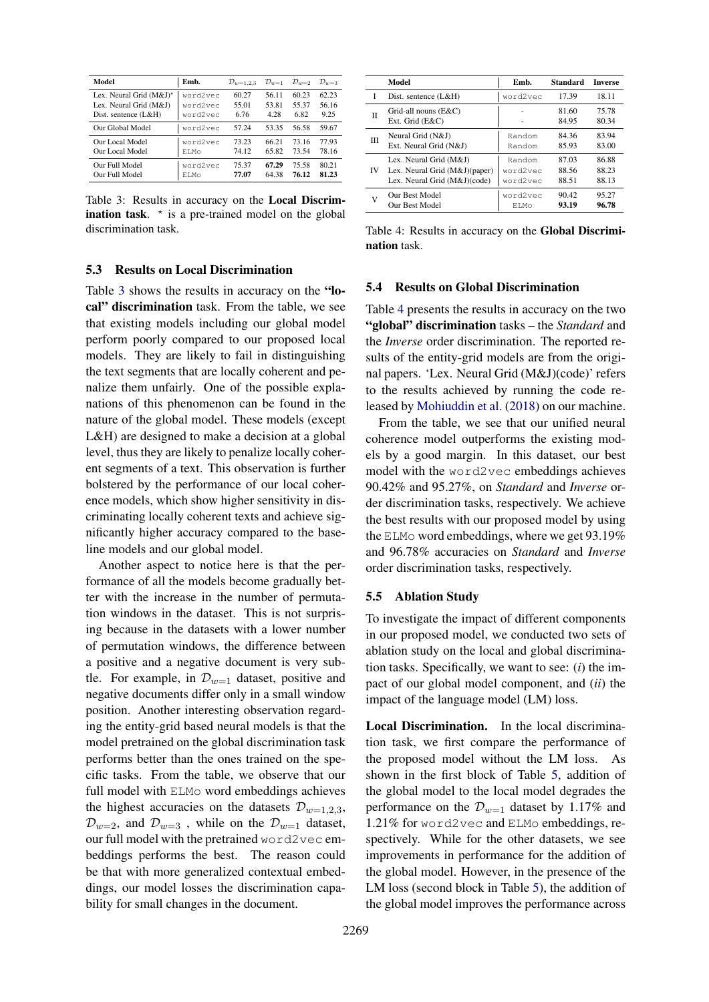<span id="page-7-0"></span>

| Model                   | Emb.     | $\mathcal{D}_{w=1,2,3}$ | $\mathcal{D}_{w=1}$ | $\mathcal{D}_{w=2}$ | $\mathcal{D}_{w=3}$ |
|-------------------------|----------|-------------------------|---------------------|---------------------|---------------------|
| Lex. Neural Grid (M&J)* | word2vec | 60.27                   | 56.11               | 60.23               | 62.23               |
| Lex. Neural Grid (M&J)  | word2vec | 55.01                   | 53.81               | 55.37               | 56.16               |
| Dist. sentence (L&H)    | word2vec | 6.76                    | 4.28                | 6.82                | 9.25                |
| Our Global Model        | word2vec | 57.24                   | 53.35               | 56.58               | 59.67               |
| Our Local Model         | word2vec | 73.23                   | 66.21               | 73.16               | 77.93               |
| Our Local Model         | ET Mo    | 74.12                   | 65.82               | 73.54               | 78.16               |
| Our Full Model          | word2vec | 75.37                   | 67.29               | 75.58               | 80.21               |
| Our Full Model          | ET Mo    | 77.07                   | 64.38               | 76.12               | 81.23               |
|                         |          |                         |                     |                     |                     |

Table 3: Results in accuracy on the Local Discrimination task.  $\star$  is a pre-trained model on the global discrimination task.

## 5.3 Results on Local Discrimination

Table [3](#page-7-0) shows the results in accuracy on the "local" discrimination task. From the table, we see that existing models including our global model perform poorly compared to our proposed local models. They are likely to fail in distinguishing the text segments that are locally coherent and penalize them unfairly. One of the possible explanations of this phenomenon can be found in the nature of the global model. These models (except L&H) are designed to make a decision at a global level, thus they are likely to penalize locally coherent segments of a text. This observation is further bolstered by the performance of our local coherence models, which show higher sensitivity in discriminating locally coherent texts and achieve significantly higher accuracy compared to the baseline models and our global model.

Another aspect to notice here is that the performance of all the models become gradually better with the increase in the number of permutation windows in the dataset. This is not surprising because in the datasets with a lower number of permutation windows, the difference between a positive and a negative document is very subtle. For example, in  $\mathcal{D}_{w=1}$  dataset, positive and negative documents differ only in a small window position. Another interesting observation regarding the entity-grid based neural models is that the model pretrained on the global discrimination task performs better than the ones trained on the specific tasks. From the table, we observe that our full model with ELMo word embeddings achieves the highest accuracies on the datasets  $\mathcal{D}_{w=1,2,3}$ ,  $\mathcal{D}_{w=2}$ , and  $\mathcal{D}_{w=3}$ , while on the  $\mathcal{D}_{w=1}$  dataset, our full model with the pretrained word2vec embeddings performs the best. The reason could be that with more generalized contextual embeddings, our model losses the discrimination capability for small changes in the document.

<span id="page-7-1"></span>

|    | Model                                   | Emb.        | <b>Standard</b> | <b>Inverse</b> |
|----|-----------------------------------------|-------------|-----------------|----------------|
| I  | Dist. sentence $(L&H)$                  | word2vec    | 17.39           | 18.11          |
| Π  | Grid-all nouns (E&C)<br>Ext. Grid (E&C) |             | 81.60<br>84.95  | 75.78<br>80.34 |
| ΠI | Neural Grid (N&J)                       | Random      | 84.36           | 83.94          |
|    | Ext. Neural Grid (N&J)                  | Random      | 85.93           | 83.00          |
| IV | Lex. Neural Grid (M&J)                  | Random      | 87.03           | 86.88          |
|    | Lex. Neural Grid (M&J)(paper)           | word2vec    | 88.56           | 88.23          |
|    | Lex. Neural Grid (M&J)(code)            | word2vec    | 88.51           | 88.13          |
| v  | Our Best Model                          | word2vec    | 90.42           | 95.27          |
|    | Our Best Model                          | <b>ELMo</b> | 93.19           | 96.78          |

Table 4: Results in accuracy on the Global Discrimination task.

# 5.4 Results on Global Discrimination

Table [4](#page-7-1) presents the results in accuracy on the two "global" discrimination tasks – the *Standard* and the *Inverse* order discrimination. The reported results of the entity-grid models are from the original papers. 'Lex. Neural Grid (M&J)(code)' refers to the results achieved by running the code released by [Mohiuddin et al.](#page-10-4) [\(2018\)](#page-10-4) on our machine.

From the table, we see that our unified neural coherence model outperforms the existing models by a good margin. In this dataset, our best model with the word2vec embeddings achieves 90.42% and 95.27%, on *Standard* and *Inverse* order discrimination tasks, respectively. We achieve the best results with our proposed model by using the ELMo word embeddings, where we get 93.19% and 96.78% accuracies on *Standard* and *Inverse* order discrimination tasks, respectively.

#### 5.5 Ablation Study

To investigate the impact of different components in our proposed model, we conducted two sets of ablation study on the local and global discrimination tasks. Specifically, we want to see: (*i*) the impact of our global model component, and (*ii*) the impact of the language model (LM) loss.

Local Discrimination. In the local discrimination task, we first compare the performance of the proposed model without the LM loss. As shown in the first block of Table [5,](#page-8-4) addition of the global model to the local model degrades the performance on the  $\mathcal{D}_{w=1}$  dataset by 1.17% and 1.21% for word2vec and ELMo embeddings, respectively. While for the other datasets, we see improvements in performance for the addition of the global model. However, in the presence of the LM loss (second block in Table [5\)](#page-8-4), the addition of the global model improves the performance across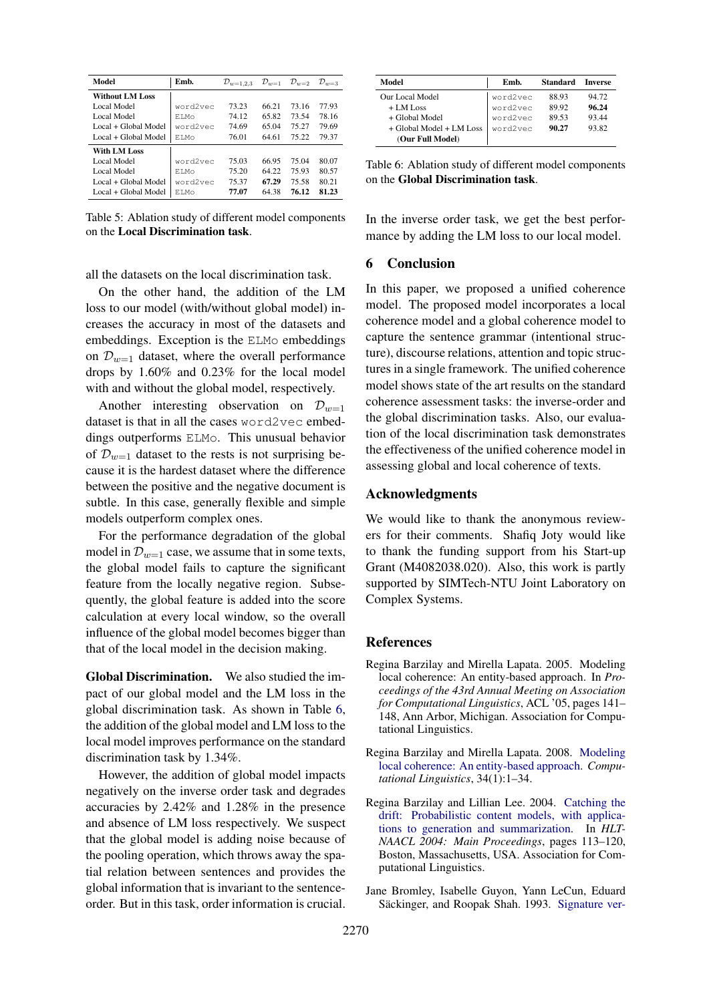<span id="page-8-4"></span>

| Model                  | Emb.     | $\mathcal{D}_{w=1,2,3}$ | $\mathcal{D}_{w=1}$ | $\mathcal{D}_{w=2}$ | $\mathcal{D}_{w=3}$ |
|------------------------|----------|-------------------------|---------------------|---------------------|---------------------|
| <b>Without LM Loss</b> |          |                         |                     |                     |                     |
| Local Model            | word2vec | 73.23                   | 66.21               | 73.16               | 77.93               |
| Local Model            | ET.Mo    | 74.12                   | 65.82               | 73.54               | 78.16               |
| Local + Global Model   | word2vec | 74.69                   | 65.04               | 75.27               | 79.69               |
| Local + Global Model   | ET.Mo    | 76.01                   | 64.61               | 75.22               | 79.37               |
| With LM Loss           |          |                         |                     |                     |                     |
| Local Model            | word2vec | 75.03                   | 66.95               | 75.04               | 80.07               |
| Local Model            | ET.Mo    | 75.20                   | 64.22               | 75.93               | 80.57               |
| Local + Global Model   | word2vec | 75.37                   | 67.29               | 75.58               | 80.21               |
| Local + Global Model   | ET.Mo    | 77.07                   | 64.38               | 76.12               | 81.23               |

Table 5: Ablation study of different model components on the Local Discrimination task.

all the datasets on the local discrimination task.

On the other hand, the addition of the LM loss to our model (with/without global model) increases the accuracy in most of the datasets and embeddings. Exception is the ELMo embeddings on  $\mathcal{D}_{w=1}$  dataset, where the overall performance drops by 1.60% and 0.23% for the local model with and without the global model, respectively.

Another interesting observation on  $\mathcal{D}_{w=1}$ dataset is that in all the cases word2vec embeddings outperforms ELMo. This unusual behavior of  $\mathcal{D}_{w=1}$  dataset to the rests is not surprising because it is the hardest dataset where the difference between the positive and the negative document is subtle. In this case, generally flexible and simple models outperform complex ones.

For the performance degradation of the global model in  $\mathcal{D}_{w=1}$  case, we assume that in some texts, the global model fails to capture the significant feature from the locally negative region. Subsequently, the global feature is added into the score calculation at every local window, so the overall influence of the global model becomes bigger than that of the local model in the decision making.

Global Discrimination. We also studied the impact of our global model and the LM loss in the global discrimination task. As shown in Table [6,](#page-8-5) the addition of the global model and LM loss to the local model improves performance on the standard discrimination task by 1.34%.

However, the addition of global model impacts negatively on the inverse order task and degrades accuracies by 2.42% and 1.28% in the presence and absence of LM loss respectively. We suspect that the global model is adding noise because of the pooling operation, which throws away the spatial relation between sentences and provides the global information that is invariant to the sentenceorder. But in this task, order information is crucial.

<span id="page-8-5"></span>

| Model                        | Emb.     | <b>Standard</b> | <b>Inverse</b> |  |
|------------------------------|----------|-----------------|----------------|--|
| Our Local Model              | word2vec | 88.93           | 94.72          |  |
| $+$ LM Loss                  | word2vec | 89.92           | 96.24          |  |
| + Global Model               | word2vec | 89.53           | 93.44          |  |
| $+$ Global Model $+$ LM Loss | word2vec | 90.27           | 93.82          |  |
| (Our Full Model)             |          |                 |                |  |

Table 6: Ablation study of different model components on the Global Discrimination task.

In the inverse order task, we get the best performance by adding the LM loss to our local model.

# 6 Conclusion

In this paper, we proposed a unified coherence model. The proposed model incorporates a local coherence model and a global coherence model to capture the sentence grammar (intentional structure), discourse relations, attention and topic structures in a single framework. The unified coherence model shows state of the art results on the standard coherence assessment tasks: the inverse-order and the global discrimination tasks. Also, our evaluation of the local discrimination task demonstrates the effectiveness of the unified coherence model in assessing global and local coherence of texts.

# Acknowledgments

We would like to thank the anonymous reviewers for their comments. Shafiq Joty would like to thank the funding support from his Start-up Grant (M4082038.020). Also, this work is partly supported by SIMTech-NTU Joint Laboratory on Complex Systems.

#### References

- <span id="page-8-2"></span>Regina Barzilay and Mirella Lapata. 2005. Modeling local coherence: An entity-based approach. In *Proceedings of the 43rd Annual Meeting on Association for Computational Linguistics*, ACL '05, pages 141– 148, Ann Arbor, Michigan. Association for Computational Linguistics.
- <span id="page-8-0"></span>Regina Barzilay and Mirella Lapata. 2008. [Modeling](http://www.aclweb.org/anthology/J08-1001) [local coherence: An entity-based approach.](http://www.aclweb.org/anthology/J08-1001) *Computational Linguistics*, 34(1):1–34.
- <span id="page-8-1"></span>Regina Barzilay and Lillian Lee. 2004. [Catching the](https://www.aclweb.org/anthology/N04-1015) [drift: Probabilistic content models, with applica](https://www.aclweb.org/anthology/N04-1015)[tions to generation and summarization.](https://www.aclweb.org/anthology/N04-1015) In *HLT-NAACL 2004: Main Proceedings*, pages 113–120, Boston, Massachusetts, USA. Association for Computational Linguistics.
- <span id="page-8-3"></span>Jane Bromley, Isabelle Guyon, Yann LeCun, Eduard Säckinger, and Roopak Shah. 1993. [Signature ver-](http://dl.acm.org/citation.cfm?id=2987189.2987282)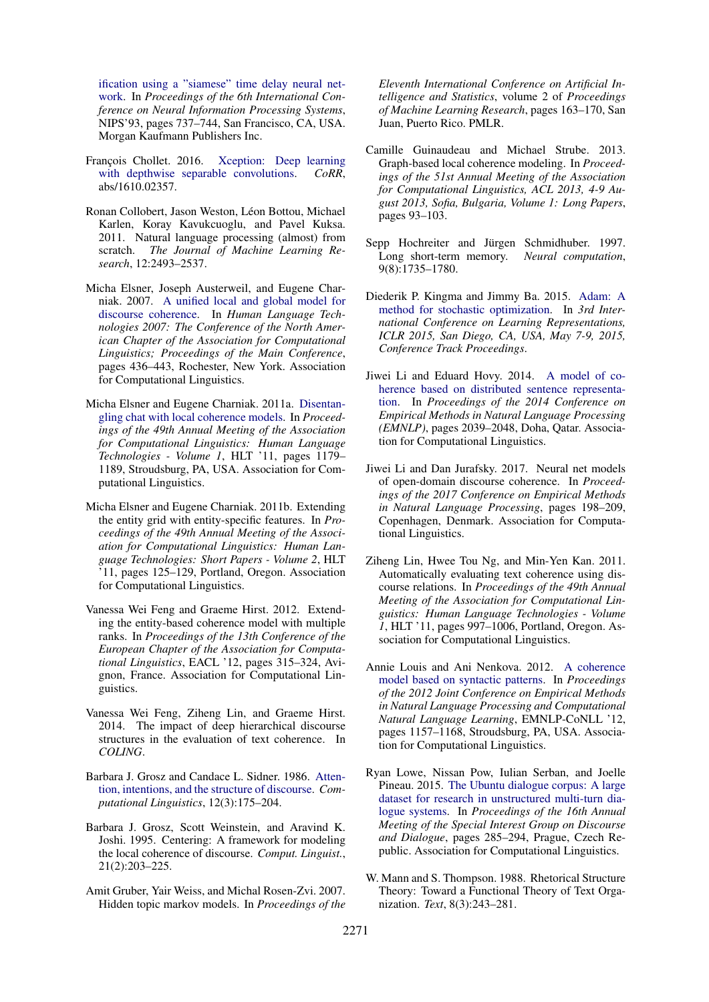[ification using a "siamese" time delay neural net](http://dl.acm.org/citation.cfm?id=2987189.2987282)[work.](http://dl.acm.org/citation.cfm?id=2987189.2987282) In *Proceedings of the 6th International Conference on Neural Information Processing Systems*, NIPS'93, pages 737–744, San Francisco, CA, USA. Morgan Kaufmann Publishers Inc.

- <span id="page-9-15"></span>François Chollet. 2016. [Xception: Deep learning](http://arxiv.org/abs/1610.02357) [with depthwise separable convolutions.](http://arxiv.org/abs/1610.02357) *CoRR*, abs/1610.02357.
- <span id="page-9-16"></span>Ronan Collobert, Jason Weston, Léon Bottou, Michael Karlen, Koray Kavukcuoglu, and Pavel Kuksa. 2011. Natural language processing (almost) from scratch. *The Journal of Machine Learning Research*, 12:2493–2537.
- <span id="page-9-10"></span>Micha Elsner, Joseph Austerweil, and Eugene Charniak. 2007. [A unified local and global model for](https://www.aclweb.org/anthology/N07-1055) [discourse coherence.](https://www.aclweb.org/anthology/N07-1055) In *Human Language Technologies 2007: The Conference of the North American Chapter of the Association for Computational Linguistics; Proceedings of the Main Conference*, pages 436–443, Rochester, New York. Association for Computational Linguistics.
- <span id="page-9-7"></span>Micha Elsner and Eugene Charniak. 2011a. [Disentan](http://dl.acm.org/citation.cfm?id=2002472.2002622)[gling chat with local coherence models.](http://dl.acm.org/citation.cfm?id=2002472.2002622) In *Proceedings of the 49th Annual Meeting of the Association for Computational Linguistics: Human Language Technologies - Volume 1*, HLT '11, pages 1179– 1189, Stroudsburg, PA, USA. Association for Computational Linguistics.
- <span id="page-9-0"></span>Micha Elsner and Eugene Charniak. 2011b. Extending the entity grid with entity-specific features. In *Proceedings of the 49th Annual Meeting of the Association for Computational Linguistics: Human Language Technologies: Short Papers - Volume 2*, HLT '11, pages 125–129, Portland, Oregon. Association for Computational Linguistics.
- <span id="page-9-11"></span>Vanessa Wei Feng and Graeme Hirst. 2012. Extending the entity-based coherence model with multiple ranks. In *Proceedings of the 13th Conference of the European Chapter of the Association for Computational Linguistics*, EACL '12, pages 315–324, Avignon, France. Association for Computational Linguistics.
- <span id="page-9-17"></span>Vanessa Wei Feng, Ziheng Lin, and Graeme Hirst. 2014. The impact of deep hierarchical discourse structures in the evaluation of text coherence. In *COLING*.
- <span id="page-9-9"></span>Barbara J. Grosz and Candace L. Sidner. 1986. [Atten](https://www.aclweb.org/anthology/J86-3001)[tion, intentions, and the structure of discourse.](https://www.aclweb.org/anthology/J86-3001) *Computational Linguistics*, 12(3):175–204.
- <span id="page-9-1"></span>Barbara J. Grosz, Scott Weinstein, and Aravind K. Joshi. 1995. Centering: A framework for modeling the local coherence of discourse. *Comput. Linguist.*, 21(2):203–225.
- <span id="page-9-13"></span>Amit Gruber, Yair Weiss, and Michal Rosen-Zvi. 2007. Hidden topic markov models. In *Proceedings of the*

*Eleventh International Conference on Artificial Intelligence and Statistics*, volume 2 of *Proceedings of Machine Learning Research*, pages 163–170, San Juan, Puerto Rico. PMLR.

- <span id="page-9-12"></span>Camille Guinaudeau and Michael Strube. 2013. Graph-based local coherence modeling. In *Proceedings of the 51st Annual Meeting of the Association for Computational Linguistics, ACL 2013, 4-9 August 2013, Sofia, Bulgaria, Volume 1: Long Papers*, pages 93–103.
- <span id="page-9-14"></span>Sepp Hochreiter and Jürgen Schmidhuber. 1997. Long short-term memory. *Neural computation*, 9(8):1735–1780.
- <span id="page-9-18"></span>Diederik P. Kingma and Jimmy Ba. 2015. [Adam: A](http://arxiv.org/abs/1412.6980) [method for stochastic optimization.](http://arxiv.org/abs/1412.6980) In *3rd International Conference on Learning Representations, ICLR 2015, San Diego, CA, USA, May 7-9, 2015, Conference Track Proceedings*.
- <span id="page-9-5"></span>Jiwei Li and Eduard Hovy. 2014. [A model of co](http://www.aclweb.org/anthology/D14-1218)[herence based on distributed sentence representa](http://www.aclweb.org/anthology/D14-1218)[tion.](http://www.aclweb.org/anthology/D14-1218) In *Proceedings of the 2014 Conference on Empirical Methods in Natural Language Processing (EMNLP)*, pages 2039–2048, Doha, Qatar. Association for Computational Linguistics.
- <span id="page-9-6"></span>Jiwei Li and Dan Jurafsky. 2017. Neural net models of open-domain discourse coherence. In *Proceedings of the 2017 Conference on Empirical Methods in Natural Language Processing*, pages 198–209, Copenhagen, Denmark. Association for Computational Linguistics.
- <span id="page-9-2"></span>Ziheng Lin, Hwee Tou Ng, and Min-Yen Kan. 2011. Automatically evaluating text coherence using discourse relations. In *Proceedings of the 49th Annual Meeting of the Association for Computational Linguistics: Human Language Technologies - Volume 1*, HLT '11, pages 997–1006, Portland, Oregon. Association for Computational Linguistics.
- <span id="page-9-4"></span>Annie Louis and Ani Nenkova. 2012. [A coherence](http://dl.acm.org/citation.cfm?id=2390948.2391078) [model based on syntactic patterns.](http://dl.acm.org/citation.cfm?id=2390948.2391078) In *Proceedings of the 2012 Joint Conference on Empirical Methods in Natural Language Processing and Computational Natural Language Learning*, EMNLP-CoNLL '12, pages 1157–1168, Stroudsburg, PA, USA. Association for Computational Linguistics.
- <span id="page-9-8"></span>Ryan Lowe, Nissan Pow, Iulian Serban, and Joelle Pineau. 2015. [The Ubuntu dialogue corpus: A large](https://doi.org/10.18653/v1/W15-4640) [dataset for research in unstructured multi-turn dia](https://doi.org/10.18653/v1/W15-4640)[logue systems.](https://doi.org/10.18653/v1/W15-4640) In *Proceedings of the 16th Annual Meeting of the Special Interest Group on Discourse and Dialogue*, pages 285–294, Prague, Czech Republic. Association for Computational Linguistics.
- <span id="page-9-3"></span>W. Mann and S. Thompson. 1988. Rhetorical Structure Theory: Toward a Functional Theory of Text Organization. *Text*, 8(3):243–281.